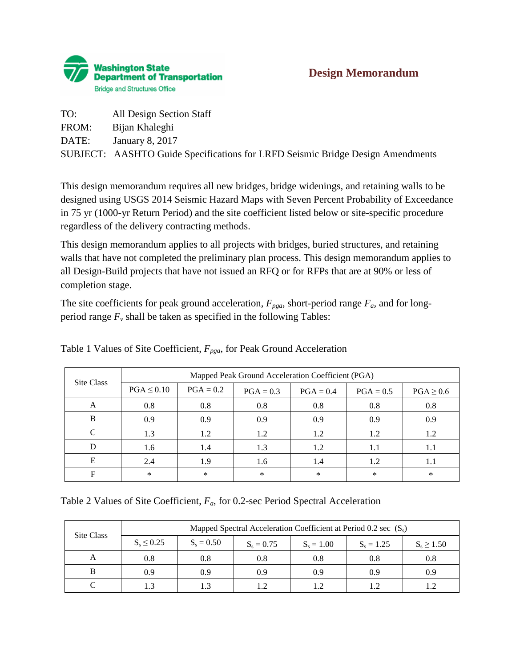

| TO:   | All Design Section Staff                                                       |
|-------|--------------------------------------------------------------------------------|
| FROM: | Bijan Khaleghi                                                                 |
| DATE: | January 8, 2017                                                                |
|       | SUBJECT: AASHTO Guide Specifications for LRFD Seismic Bridge Design Amendments |

This design memorandum requires all new bridges, bridge widenings, and retaining walls to be designed using USGS 2014 Seismic Hazard Maps with Seven Percent Probability of Exceedance in 75 yr (1000-yr Return Period) and the site coefficient listed below or site-specific procedure regardless of the delivery contracting methods.

This design memorandum applies to all projects with bridges, buried structures, and retaining walls that have not completed the preliminary plan process. This design memorandum applies to all Design-Build projects that have not issued an RFQ or for RFPs that are at 90% or less of completion stage.

The site coefficients for peak ground acceleration,  $F_{pga}$ , short-period range  $F_a$ , and for longperiod range  $F_\nu$  shall be taken as specified in the following Tables:

| Site Class | Mapped Peak Ground Acceleration Coefficient (PGA) |             |             |             |             |                |  |
|------------|---------------------------------------------------|-------------|-------------|-------------|-------------|----------------|--|
|            | $PGA \leq 0.10$                                   | $PGA = 0.2$ | $PGA = 0.3$ | $PGA = 0.4$ | $PGA = 0.5$ | $PGA \geq 0.6$ |  |
| A          | 0.8                                               | 0.8         | 0.8         | 0.8         | 0.8         | 0.8            |  |
| B          | 0.9                                               | 0.9         | 0.9         | 0.9         | 0.9         | 0.9            |  |
| $\Gamma$   | 1.3                                               | 1.2         | 1.2         | 1.2         | 1.2         | 1.2            |  |
|            | 1.6                                               | 1.4         | 1.3         | 1.2         | 1.1         | 1.1            |  |
| E          | 2.4                                               | 1.9         | 1.6         | 1.4         | 1.2         | 1.1            |  |
| F          | *                                                 | $\ast$      | $\ast$      | *           | $\ast$      | $\ast$         |  |

Table 1 Values of Site Coefficient, *Fpga*, for Peak Ground Acceleration

Table 2 Values of Site Coefficient, *Fa*, for 0.2-sec Period Spectral Acceleration

| Site Class | Mapped Spectral Acceleration Coefficient at Period 0.2 sec $(S_s)$ |              |              |              |              |                |  |
|------------|--------------------------------------------------------------------|--------------|--------------|--------------|--------------|----------------|--|
|            | $S_s \le 0.25$                                                     | $S_s = 0.50$ | $S_s = 0.75$ | $S_s = 1.00$ | $S_s = 1.25$ | $S_s \ge 1.50$ |  |
| A          | 0.8                                                                | 0.8          | 0.8          | 0.8          | 0.8          | 0.8            |  |
|            | 0.9                                                                | 0.9          | 0.9          | 0.9          | 0.9          | 0.9            |  |
|            |                                                                    |              | ່າ           |              |              |                |  |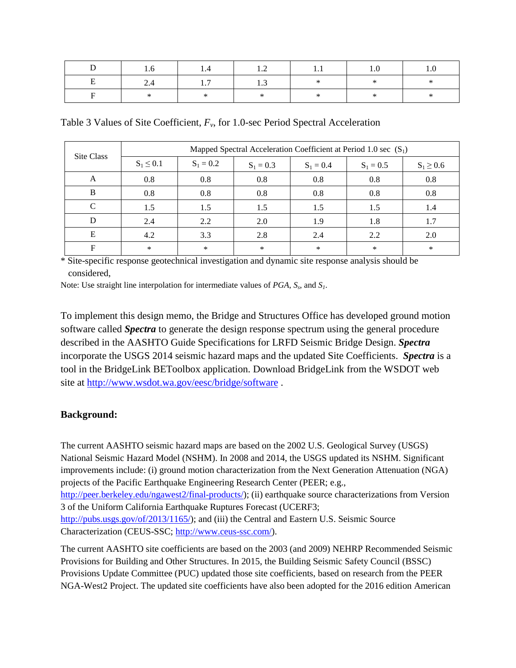|     | 14  | 1.2 |  |  |
|-----|-----|-----|--|--|
| 2.4 | 1.7 | 1.3 |  |  |
|     |     |     |  |  |

Table 3 Values of Site Coefficient,  $F_v$ , for 1.0-sec Period Spectral Acceleration

| Site Class | Mapped Spectral Acceleration Coefficient at Period 1.0 sec $(S_1)$ |             |             |             |             |                |
|------------|--------------------------------------------------------------------|-------------|-------------|-------------|-------------|----------------|
|            | $S_1 \leq 0.1$                                                     | $S_1 = 0.2$ | $S_1 = 0.3$ | $S_1 = 0.4$ | $S_1 = 0.5$ | $S_1 \geq 0.6$ |
| A          | 0.8                                                                | 0.8         | 0.8         | 0.8         | 0.8         | 0.8            |
| B          | 0.8                                                                | 0.8         | 0.8         | 0.8         | 0.8         | 0.8            |
| $\Gamma$   | 1.5                                                                | 1.5         | 1.5         | 1.5         | 1.5         | 1.4            |
|            | 2.4                                                                | 2.2         | 2.0         | 1.9         | 1.8         | 1.7            |
| E          | 4.2                                                                | 3.3         | 2.8         | 2.4         | 2.2         | 2.0            |
| F          | $\ast$                                                             | $\ast$      | $\ast$      | $\ast$      | $\ast$      | $\ast$         |

\* Site-specific response geotechnical investigation and dynamic site response analysis should be considered,

Note: Use straight line interpolation for intermediate values of *PGA*,  $S_s$ , and  $S_l$ .

To implement this design memo, the Bridge and Structures Office has developed ground motion software called *Spectra* to generate the design response spectrum using the general procedure described in the AASHTO Guide Specifications for LRFD Seismic Bridge Design. *Spectra* incorporate the USGS 2014 seismic hazard maps and the updated Site Coefficients. *Spectra* is a tool in the BridgeLink BEToolbox application. Download BridgeLink from the WSDOT web site at<http://www.wsdot.wa.gov/eesc/bridge/software> .

## **Background:**

The current AASHTO seismic hazard maps are based on the 2002 U.S. Geological Survey (USGS) National Seismic Hazard Model (NSHM). In 2008 and 2014, the USGS updated its NSHM. Significant improvements include: (i) ground motion characterization from the Next Generation Attenuation (NGA) projects of the Pacific Earthquake Engineering Research Center (PEER; e.g., [http://peer.berkeley.edu/ngawest2/final-products/\)](http://peer.berkeley.edu/ngawest2/final-products/); (ii) earthquake source characterizations from Version 3 of the Uniform California Earthquake Ruptures Forecast (UCERF3; [http://pubs.usgs.gov/of/2013/1165/\)](http://pubs.usgs.gov/of/2013/1165/); and (iii) the Central and Eastern U.S. Seismic Source Characterization (CEUS-SSC; [http://www.ceus-ssc.com/\)](http://www.ceus-ssc.com/).

The current AASHTO site coefficients are based on the 2003 (and 2009) NEHRP Recommended Seismic Provisions for Building and Other Structures. In 2015, the Building Seismic Safety Council (BSSC) Provisions Update Committee (PUC) updated those site coefficients, based on research from the PEER NGA-West2 Project. The updated site coefficients have also been adopted for the 2016 edition American